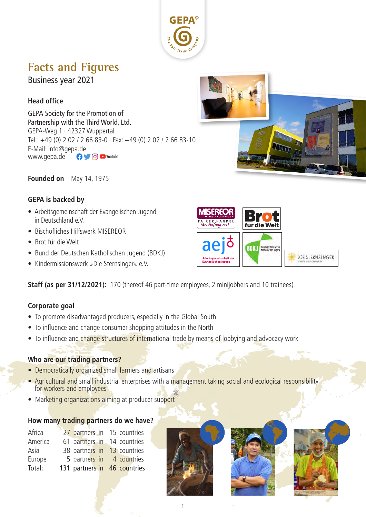

# **Facts and Figures**

Business year 2021

## **Head office**

GEPA Society for the Promotion of Partnership with the Third World, Ltd. GEPA-Weg 1 · 42327 Wuppertal Tel.: +49 (0) 2 02 / 2 66 83-0 · Fax: +49 (0) 2 02 / 2 66 83-10 E-Mail: info@gepa.de<br>www.gepa.de www.gepa.de



**Founded on** May 14, 1975

#### **GEPA is backed by**

- Arbeitsgemeinschaft der Evangelischen Jugend in Deutschland e.V.
- Bischöfliches Hilfswerk MISEREOR
- Brot für die Welt
- Bund der Deutschen Katholischen Jugend (BDKJ)
- Kindermissionswerk »Die Sternsinger« e.V.



**Staff (as per 31/12/2021):** 170 (thereof 46 part-time employees, 2 minijobbers and 10 trainees)

#### **Corporate goal**

- To promote disadvantaged producers, especially in the Global South
- To influence and change consumer shopping attitudes in the North
- To influence and change structures of international trade by means of lobbying and advocacy work

#### **Who are our trading partners?**

- Democratically organized small farmers and artisans
- Agricultural and small industrial enterprises with a management taking social and ecological responsibility for workers and employees
- Marketing organizations aiming at producer support

#### **How many trading partners do we have?**

| Africa  | 27 partners in 15 countries  |  |
|---------|------------------------------|--|
| America | 61 partners in 14 countries  |  |
| Asia    | 38 partners in 13 countries  |  |
| Europe  | 5 partners in 4 countries    |  |
| Total:  | 131 partners in 46 countries |  |
|         |                              |  |



1



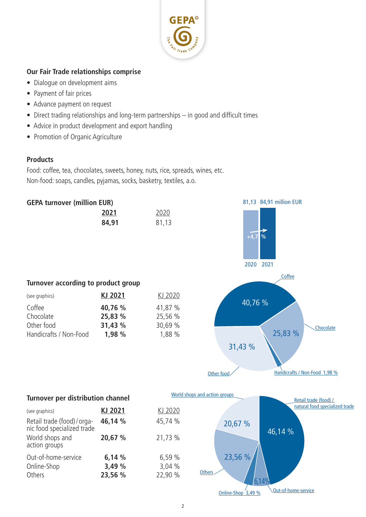

## **Our Fair Trade relationships comprise**

- Dialogue on development aims
- Payment of fair prices
- Advance payment on request
- Direct trading relationships and long-term partnerships in good and difficult times
- Advice in product development and export handling
- Promotion of Organic Agriculture

#### **Products**

Food: coffee, tea, chocolates, sweets, honey, nuts, rice, spreads, wines, etc. Non-food: soaps, candles, pyjamas, socks, basketry, textiles, a.o.





## **Turnover according to product group**

| (see graphics)         | KJ 2021 | KJ 2020 |
|------------------------|---------|---------|
| Coffee                 | 40,76 % | 41,87 % |
| Chocolate              | 25,83 % | 25,56 % |
| Other food             | 31,43 % | 30,69 % |
| Handicrafts / Non-Food | 1,98 %  | 1,88 %  |



## **Turnover per distribution channel**

| (see graphics)                                            | KJ 2021 | KJ 2020 |
|-----------------------------------------------------------|---------|---------|
| Retail trade (food) / orga-<br>nic food specialized trade | 46,14 % | 45,74 % |
| World shops and<br>action groups                          | 20,67 % | 21,73 % |
| Out-of-home-service                                       | 6,14%   | 6,59%   |
| Online-Shop                                               | 3,49 %  | 3,04 %  |
| Others                                                    | 23,56 % | 22,90 % |

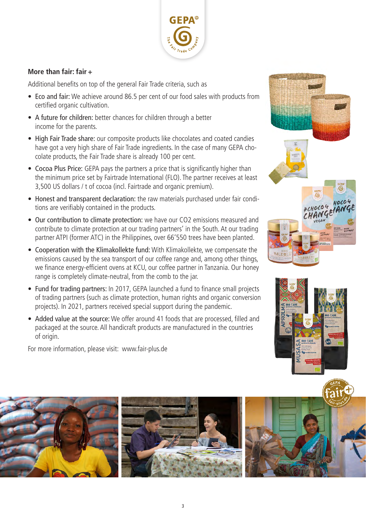

#### **More than fair: fair +**

Additional benefits on top of the general Fair Trade criteria, such as

- Eco and fair: We achieve around 86.5 per cent of our food sales with products from certified organic cultivation.
- A future for children: better chances for children through a better income for the parents.
- High Fair Trade share: our composite products like chocolates and coated candies have got a very high share of Fair Trade ingredients. In the case of many GEPA chocolate products, the Fair Trade share is already 100 per cent.
- Cocoa Plus Price: GEPA pays the partners a price that is significantly higher than the minimum price set by Fairtrade International (FLO). The partner receives at least 3,500 US dollars / t of cocoa (incl. Fairtrade and organic premium).
- Honest and transparent declaration: the raw materials purchased under fair conditions are verifiably contained in the products.
- Our contribution to climate protection: we have our CO2 emissions measured and contribute to climate protection at our trading partners' in the South. At our trading partner ATPI (former ATC) in the Philippines, over 66'550 trees have been planted.
- Cooperation with the Klimakollekte fund: With Klimakollekte, we compensate the emissions caused by the sea transport of our coffee range and, among other things, we finance energy-efficient ovens at KCU, our coffee partner in Tanzania. Our honey range is completely climate-neutral, from the comb to the jar.
- Fund for trading partners: In 2017, GEPA launched a fund to finance small projects of trading partners (such as climate protection, human rights and organic conversion projects). In 2021, partners received special support during the pandemic.
- Added value at the source: We offer around 41 foods that are processed, filled and packaged at the source. All handicraft products are manufactured in the countries of origin.

For more information, please visit: www.fair-plus.de